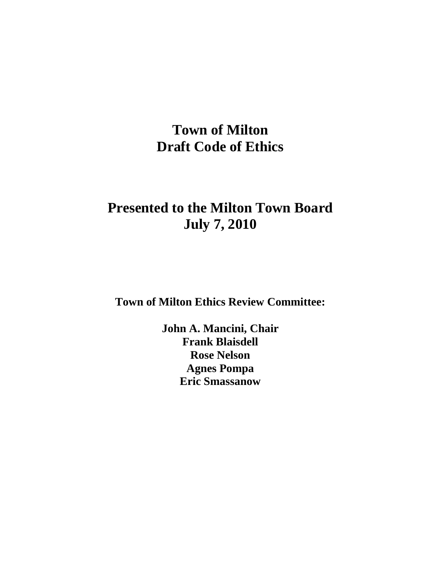# **Town of Milton Draft Code of Ethics**

# **Presented to the Milton Town Board July 7, 2010**

**Town of Milton Ethics Review Committee:**

**John A. Mancini, Chair Frank Blaisdell Rose Nelson Agnes Pompa Eric Smassanow**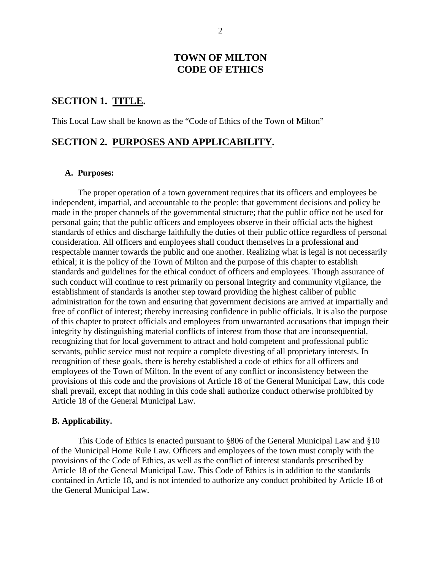#### **TOWN OF MILTON CODE OF ETHICS**

#### **SECTION 1. TITLE.**

This Local Law shall be known as the "Code of Ethics of the Town of Milton"

#### **SECTION 2. PURPOSES AND APPLICABILITY.**

#### **A. Purposes:**

The proper operation of a town government requires that its officers and employees be independent, impartial, and accountable to the people: that government decisions and policy be made in the proper channels of the governmental structure; that the public office not be used for personal gain; that the public officers and employees observe in their official acts the highest standards of ethics and discharge faithfully the duties of their public office regardless of personal consideration. All officers and employees shall conduct themselves in a professional and respectable manner towards the public and one another. Realizing what is legal is not necessarily ethical; it is the policy of the Town of Milton and the purpose of this chapter to establish standards and guidelines for the ethical conduct of officers and employees. Though assurance of such conduct will continue to rest primarily on personal integrity and community vigilance, the establishment of standards is another step toward providing the highest caliber of public administration for the town and ensuring that government decisions are arrived at impartially and free of conflict of interest; thereby increasing confidence in public officials. It is also the purpose of this chapter to protect officials and employees from unwarranted accusations that impugn their integrity by distinguishing material conflicts of interest from those that are inconsequential, recognizing that for local government to attract and hold competent and professional public servants, public service must not require a complete divesting of all proprietary interests. In recognition of these goals, there is hereby established a code of ethics for all officers and employees of the Town of Milton. In the event of any conflict or inconsistency between the provisions of this code and the provisions of Article 18 of the General Municipal Law, this code shall prevail, except that nothing in this code shall authorize conduct otherwise prohibited by Article 18 of the General Municipal Law.

#### **B. Applicability.**

This Code of Ethics is enacted pursuant to §806 of the General Municipal Law and §10 of the Municipal Home Rule Law. Officers and employees of the town must comply with the provisions of the Code of Ethics, as well as the conflict of interest standards prescribed by Article 18 of the General Municipal Law. This Code of Ethics is in addition to the standards contained in Article 18, and is not intended to authorize any conduct prohibited by Article 18 of the General Municipal Law.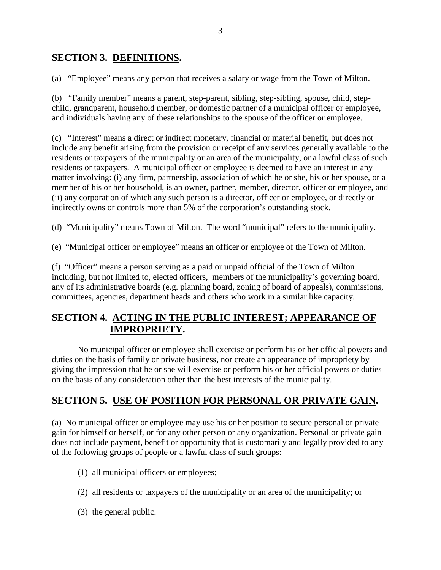### **SECTION 3. DEFINITIONS.**

(a) "Employee" means any person that receives a salary or wage from the Town of Milton.

(b) "Family member" means a parent, step-parent, sibling, step-sibling, spouse, child, stepchild, grandparent, household member, or domestic partner of a municipal officer or employee, and individuals having any of these relationships to the spouse of the officer or employee.

(c) "Interest" means a direct or indirect monetary, financial or material benefit, but does not include any benefit arising from the provision or receipt of any services generally available to the residents or taxpayers of the municipality or an area of the municipality, or a lawful class of such residents or taxpayers. A municipal officer or employee is deemed to have an interest in any matter involving: (i) any firm, partnership, association of which he or she, his or her spouse, or a member of his or her household, is an owner, partner, member, director, officer or employee, and (ii) any corporation of which any such person is a director, officer or employee, or directly or indirectly owns or controls more than 5% of the corporation's outstanding stock.

(d) "Municipality" means Town of Milton. The word "municipal" refers to the municipality.

(e) "Municipal officer or employee" means an officer or employee of the Town of Milton.

(f) "Officer" means a person serving as a paid or unpaid official of the Town of Milton including, but not limited to, elected officers, members of the municipality's governing board, any of its administrative boards (e.g. planning board, zoning of board of appeals), commissions, committees, agencies, department heads and others who work in a similar like capacity.

### **SECTION 4. ACTING IN THE PUBLIC INTEREST; APPEARANCE OF IMPROPRIETY.**

No municipal officer or employee shall exercise or perform his or her official powers and duties on the basis of family or private business, nor create an appearance of impropriety by giving the impression that he or she will exercise or perform his or her official powers or duties on the basis of any consideration other than the best interests of the municipality.

# **SECTION 5. USE OF POSITION FOR PERSONAL OR PRIVATE GAIN.**

(a) No municipal officer or employee may use his or her position to secure personal or private gain for himself or herself, or for any other person or any organization. Personal or private gain does not include payment, benefit or opportunity that is customarily and legally provided to any of the following groups of people or a lawful class of such groups:

- (1) all municipal officers or employees;
- (2) all residents or taxpayers of the municipality or an area of the municipality; or
- (3) the general public.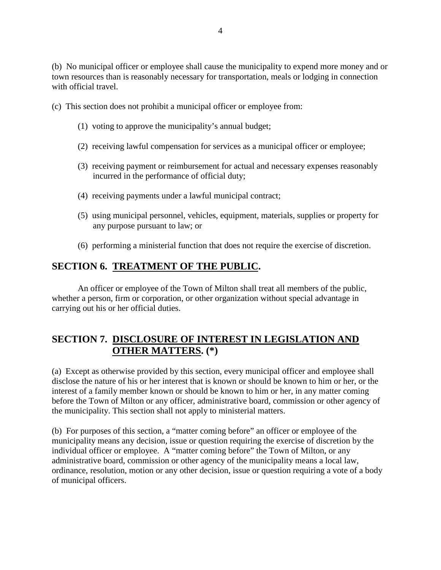(b) No municipal officer or employee shall cause the municipality to expend more money and or town resources than is reasonably necessary for transportation, meals or lodging in connection with official travel.

- (c) This section does not prohibit a municipal officer or employee from:
	- (1) voting to approve the municipality's annual budget;
	- (2) receiving lawful compensation for services as a municipal officer or employee;
	- (3) receiving payment or reimbursement for actual and necessary expenses reasonably incurred in the performance of official duty;
	- (4) receiving payments under a lawful municipal contract;
	- (5) using municipal personnel, vehicles, equipment, materials, supplies or property for any purpose pursuant to law; or
	- (6) performing a ministerial function that does not require the exercise of discretion.

### **SECTION 6. TREATMENT OF THE PUBLIC.**

An officer or employee of the Town of Milton shall treat all members of the public, whether a person, firm or corporation, or other organization without special advantage in carrying out his or her official duties.

# **SECTION 7. DISCLOSURE OF INTEREST IN LEGISLATION AND OTHER MATTERS. (\*)**

(a) Except as otherwise provided by this section, every municipal officer and employee shall disclose the nature of his or her interest that is known or should be known to him or her, or the interest of a family member known or should be known to him or her, in any matter coming before the Town of Milton or any officer, administrative board, commission or other agency of the municipality. This section shall not apply to ministerial matters.

(b) For purposes of this section, a "matter coming before" an officer or employee of the municipality means any decision, issue or question requiring the exercise of discretion by the individual officer or employee. A "matter coming before" the Town of Milton, or any administrative board, commission or other agency of the municipality means a local law, ordinance, resolution, motion or any other decision, issue or question requiring a vote of a body of municipal officers.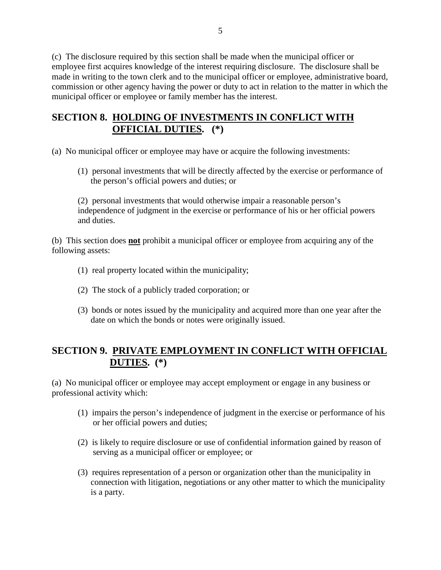(c) The disclosure required by this section shall be made when the municipal officer or employee first acquires knowledge of the interest requiring disclosure. The disclosure shall be made in writing to the town clerk and to the municipal officer or employee, administrative board, commission or other agency having the power or duty to act in relation to the matter in which the municipal officer or employee or family member has the interest.

### **SECTION 8. HOLDING OF INVESTMENTS IN CONFLICT WITH OFFICIAL DUTIES. (\*)**

- (a) No municipal officer or employee may have or acquire the following investments:
	- (1) personal investments that will be directly affected by the exercise or performance of the person's official powers and duties; or

(2) personal investments that would otherwise impair a reasonable person's independence of judgment in the exercise or performance of his or her official powers and duties.

(b) This section does **not** prohibit a municipal officer or employee from acquiring any of the following assets:

- (1) real property located within the municipality;
- (2) The stock of a publicly traded corporation; or
- (3) bonds or notes issued by the municipality and acquired more than one year after the date on which the bonds or notes were originally issued.

# **SECTION 9. PRIVATE EMPLOYMENT IN CONFLICT WITH OFFICIAL DUTIES. (\*)**

(a) No municipal officer or employee may accept employment or engage in any business or professional activity which:

- (1) impairs the person's independence of judgment in the exercise or performance of his or her official powers and duties;
- (2) is likely to require disclosure or use of confidential information gained by reason of serving as a municipal officer or employee; or
- (3) requires representation of a person or organization other than the municipality in connection with litigation, negotiations or any other matter to which the municipality is a party.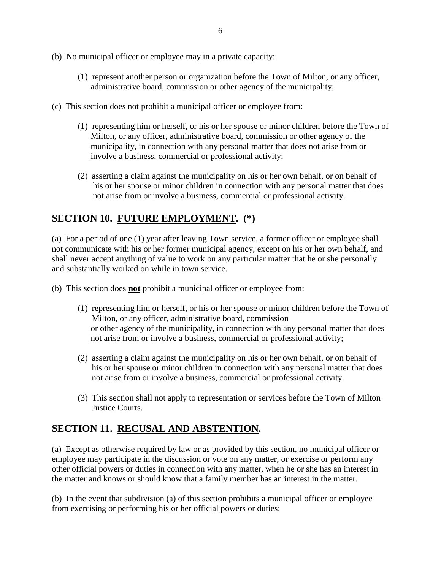- (b) No municipal officer or employee may in a private capacity:
	- (1) represent another person or organization before the Town of Milton, or any officer, administrative board, commission or other agency of the municipality;
- (c) This section does not prohibit a municipal officer or employee from:
	- (1) representing him or herself, or his or her spouse or minor children before the Town of Milton, or any officer, administrative board, commission or other agency of the municipality, in connection with any personal matter that does not arise from or involve a business, commercial or professional activity;
	- (2) asserting a claim against the municipality on his or her own behalf, or on behalf of his or her spouse or minor children in connection with any personal matter that does not arise from or involve a business, commercial or professional activity.

# **SECTION 10. FUTURE EMPLOYMENT. (\*)**

(a) For a period of one (1) year after leaving Town service, a former officer or employee shall not communicate with his or her former municipal agency, except on his or her own behalf, and shall never accept anything of value to work on any particular matter that he or she personally and substantially worked on while in town service.

(b) This section does **not** prohibit a municipal officer or employee from:

- (1) representing him or herself, or his or her spouse or minor children before the Town of Milton, or any officer, administrative board, commission or other agency of the municipality, in connection with any personal matter that does not arise from or involve a business, commercial or professional activity;
- (2) asserting a claim against the municipality on his or her own behalf, or on behalf of his or her spouse or minor children in connection with any personal matter that does not arise from or involve a business, commercial or professional activity.
- (3) This section shall not apply to representation or services before the Town of Milton Justice Courts.

# **SECTION 11. RECUSAL AND ABSTENTION.**

(a) Except as otherwise required by law or as provided by this section, no municipal officer or employee may participate in the discussion or vote on any matter, or exercise or perform any other official powers or duties in connection with any matter, when he or she has an interest in the matter and knows or should know that a family member has an interest in the matter.

(b) In the event that subdivision (a) of this section prohibits a municipal officer or employee from exercising or performing his or her official powers or duties: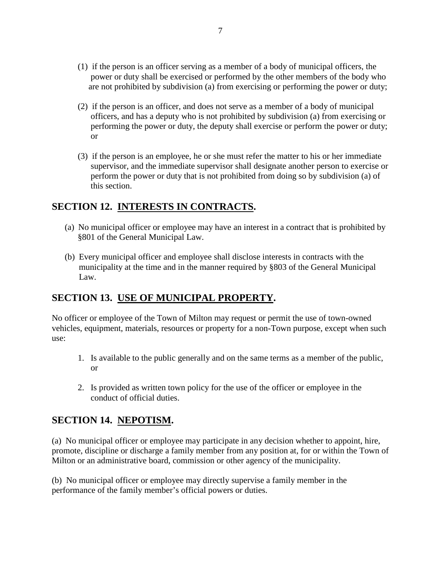- (1) if the person is an officer serving as a member of a body of municipal officers, the power or duty shall be exercised or performed by the other members of the body who are not prohibited by subdivision (a) from exercising or performing the power or duty;
- (2) if the person is an officer, and does not serve as a member of a body of municipal officers, and has a deputy who is not prohibited by subdivision (a) from exercising or performing the power or duty, the deputy shall exercise or perform the power or duty; or
- (3) if the person is an employee, he or she must refer the matter to his or her immediate supervisor, and the immediate supervisor shall designate another person to exercise or perform the power or duty that is not prohibited from doing so by subdivision (a) of this section.

# **SECTION 12. INTERESTS IN CONTRACTS.**

- (a) No municipal officer or employee may have an interest in a contract that is prohibited by §801 of the General Municipal Law.
- (b) Every municipal officer and employee shall disclose interests in contracts with the municipality at the time and in the manner required by §803 of the General Municipal Law.

# **SECTION 13. USE OF MUNICIPAL PROPERTY.**

No officer or employee of the Town of Milton may request or permit the use of town-owned vehicles, equipment, materials, resources or property for a non-Town purpose, except when such use:

- 1. Is available to the public generally and on the same terms as a member of the public, or
- 2. Is provided as written town policy for the use of the officer or employee in the conduct of official duties.

# **SECTION 14. NEPOTISM.**

(a) No municipal officer or employee may participate in any decision whether to appoint, hire, promote, discipline or discharge a family member from any position at, for or within the Town of Milton or an administrative board, commission or other agency of the municipality.

(b) No municipal officer or employee may directly supervise a family member in the performance of the family member's official powers or duties.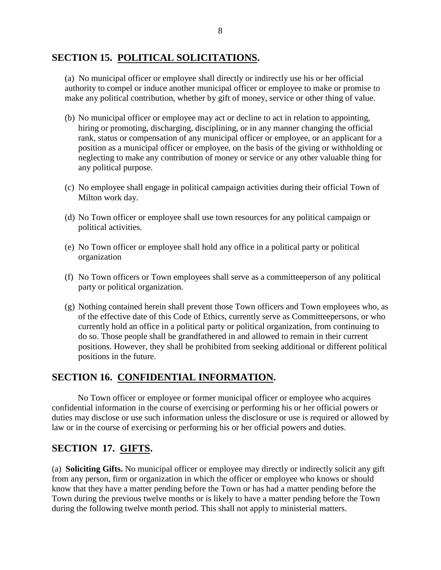### **SECTION 15. POLITICAL SOLICITATIONS.**

(a) No municipal officer or employee shall directly or indirectly use his or her official authority to compel or induce another municipal officer or employee to make or promise to make any political contribution, whether by gift of money, service or other thing of value.

- (b) No municipal officer or employee may act or decline to act in relation to appointing, hiring or promoting, discharging, disciplining, or in any manner changing the official rank, status or compensation of any municipal officer or employee, or an applicant for a position as a municipal officer or employee, on the basis of the giving or withholding or neglecting to make any contribution of money or service or any other valuable thing for any political purpose.
- (c) No employee shall engage in political campaign activities during their official Town of Milton work day.
- (d) No Town officer or employee shall use town resources for any political campaign or political activities.
- (e) No Town officer or employee shall hold any office in a political party or political organization
- (f) No Town officers or Town employees shall serve as a committeeperson of any political party or political organization.
- (g) Nothing contained herein shall prevent those Town officers and Town employees who, as of the effective date of this Code of Ethics, currently serve as Committeepersons, or who currently hold an office in a political party or political organization, from continuing to do so. Those people shall be grandfathered in and allowed to remain in their current positions. However, they shall be prohibited from seeking additional or different political positions in the future.

# **SECTION 16. CONFIDENTIAL INFORMATION.**

No Town officer or employee or former municipal officer or employee who acquires confidential information in the course of exercising or performing his or her official powers or duties may disclose or use such information unless the disclosure or use is required or allowed by law or in the course of exercising or performing his or her official powers and duties.

# **SECTION 17. GIFTS.**

(a) **Soliciting Gifts.** No municipal officer or employee may directly or indirectly solicit any gift from any person, firm or organization in which the officer or employee who knows or should know that they have a matter pending before the Town or has had a matter pending before the Town during the previous twelve months or is likely to have a matter pending before the Town during the following twelve month period. This shall not apply to ministerial matters.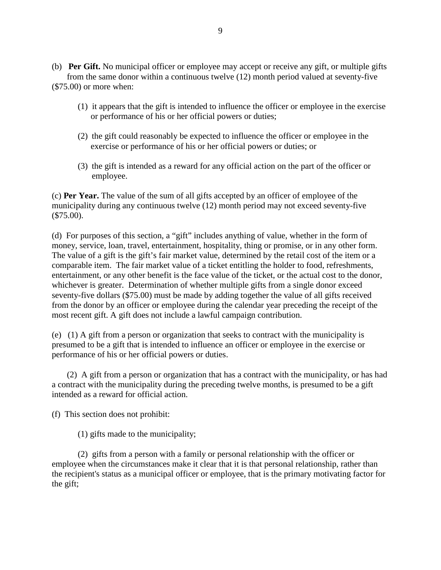- (b) **Per Gift.** No municipal officer or employee may accept or receive any gift, or multiple gifts from the same donor within a continuous twelve (12) month period valued at seventy-five (\$75.00) or more when:
	- (1) it appears that the gift is intended to influence the officer or employee in the exercise or performance of his or her official powers or duties;
	- (2) the gift could reasonably be expected to influence the officer or employee in the exercise or performance of his or her official powers or duties; or
	- (3) the gift is intended as a reward for any official action on the part of the officer or employee.

(c) **Per Year.** The value of the sum of all gifts accepted by an officer of employee of the municipality during any continuous twelve (12) month period may not exceed seventy-five (\$75.00).

(d) For purposes of this section, a "gift" includes anything of value, whether in the form of money, service, loan, travel, entertainment, hospitality, thing or promise, or in any other form. The value of a gift is the gift's fair market value, determined by the retail cost of the item or a comparable item. The fair market value of a ticket entitling the holder to food, refreshments, entertainment, or any other benefit is the face value of the ticket, or the actual cost to the donor, whichever is greater. Determination of whether multiple gifts from a single donor exceed seventy-five dollars (\$75.00) must be made by adding together the value of all gifts received from the donor by an officer or employee during the calendar year preceding the receipt of the most recent gift. A gift does not include a lawful campaign contribution.

(e) (1) A gift from a person or organization that seeks to contract with the municipality is presumed to be a gift that is intended to influence an officer or employee in the exercise or performance of his or her official powers or duties.

 (2) A gift from a person or organization that has a contract with the municipality, or has had a contract with the municipality during the preceding twelve months, is presumed to be a gift intended as a reward for official action.

(f) This section does not prohibit:

(1) gifts made to the municipality;

(2) gifts from a person with a family or personal relationship with the officer or employee when the circumstances make it clear that it is that personal relationship, rather than the recipient's status as a municipal officer or employee, that is the primary motivating factor for the gift;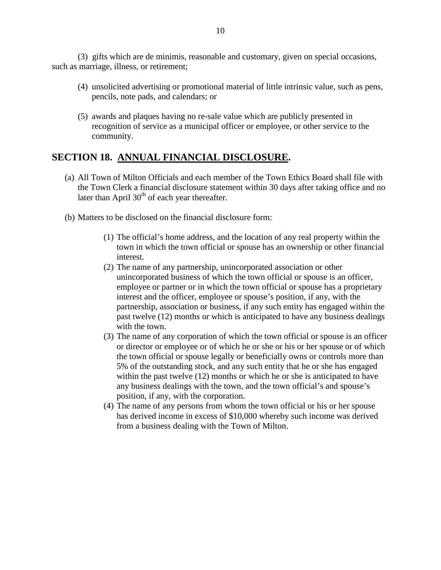(3) gifts which are de minimis, reasonable and customary, given on special occasions, such as marriage, illness, or retirement;

- (4) unsolicited advertising or promotional material of little intrinsic value, such as pens, pencils, note pads, and calendars; or
- (5) awards and plaques having no re-sale value which are publicly presented in recognition of service as a municipal officer or employee, or other service to the community.

# **SECTION 18. ANNUAL FINANCIAL DISCLOSURE.**

- (a) All Town of Milton Officials and each member of the Town Ethics Board shall file with the Town Clerk a financial disclosure statement within 30 days after taking office and no later than April  $30<sup>th</sup>$  of each year thereafter.
- (b) Matters to be disclosed on the financial disclosure form:
	- (1) The official's home address, and the location of any real property within the town in which the town official or spouse has an ownership or other financial interest.
	- (2) The name of any partnership, unincorporated association or other unincorporated business of which the town official or spouse is an officer, employee or partner or in which the town official or spouse has a proprietary interest and the officer, employee or spouse's position, if any, with the partnership, association or business, if any such entity has engaged within the past twelve (12) months or which is anticipated to have any business dealings with the town.
	- (3) The name of any corporation of which the town official or spouse is an officer or director or employee or of which he or she or his or her spouse or of which the town official or spouse legally or beneficially owns or controls more than 5% of the outstanding stock, and any such entity that he or she has engaged within the past twelve (12) months or which he or she is anticipated to have any business dealings with the town, and the town official's and spouse's position, if any, with the corporation.
	- (4) The name of any persons from whom the town official or his or her spouse has derived income in excess of \$10,000 whereby such income was derived from a business dealing with the Town of Milton.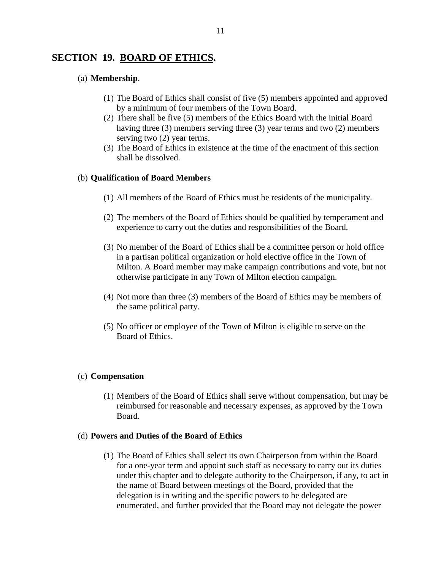#### **SECTION 19. BOARD OF ETHICS.**

#### (a) **Membership**.

- (1) The Board of Ethics shall consist of five (5) members appointed and approved by a minimum of four members of the Town Board.
- (2) There shall be five (5) members of the Ethics Board with the initial Board having three (3) members serving three (3) year terms and two (2) members serving two  $(2)$  year terms.
- (3) The Board of Ethics in existence at the time of the enactment of this section shall be dissolved.

#### (b) **Qualification of Board Members**

- (1) All members of the Board of Ethics must be residents of the municipality.
- (2) The members of the Board of Ethics should be qualified by temperament and experience to carry out the duties and responsibilities of the Board.
- (3) No member of the Board of Ethics shall be a committee person or hold office in a partisan political organization or hold elective office in the Town of Milton. A Board member may make campaign contributions and vote, but not otherwise participate in any Town of Milton election campaign.
- (4) Not more than three (3) members of the Board of Ethics may be members of the same political party.
- (5) No officer or employee of the Town of Milton is eligible to serve on the Board of Ethics.

#### (c) **Compensation**

(1) Members of the Board of Ethics shall serve without compensation, but may be reimbursed for reasonable and necessary expenses, as approved by the Town Board.

#### (d) **Powers and Duties of the Board of Ethics**

(1) The Board of Ethics shall select its own Chairperson from within the Board for a one-year term and appoint such staff as necessary to carry out its duties under this chapter and to delegate authority to the Chairperson, if any, to act in the name of Board between meetings of the Board, provided that the delegation is in writing and the specific powers to be delegated are enumerated, and further provided that the Board may not delegate the power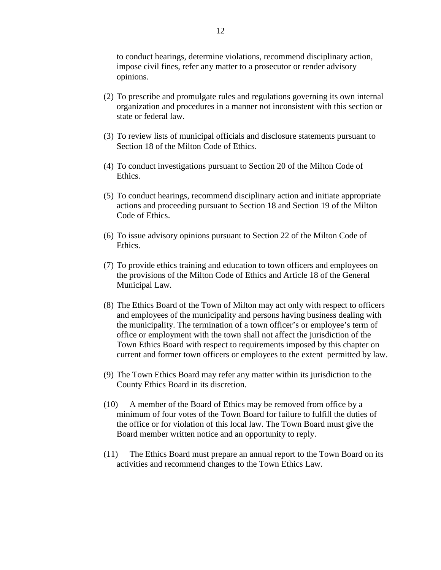to conduct hearings, determine violations, recommend disciplinary action, impose civil fines, refer any matter to a prosecutor or render advisory opinions.

- (2) To prescribe and promulgate rules and regulations governing its own internal organization and procedures in a manner not inconsistent with this section or state or federal law.
- (3) To review lists of municipal officials and disclosure statements pursuant to Section 18 of the Milton Code of Ethics.
- (4) To conduct investigations pursuant to Section 20 of the Milton Code of Ethics.
- (5) To conduct hearings, recommend disciplinary action and initiate appropriate actions and proceeding pursuant to Section 18 and Section 19 of the Milton Code of Ethics.
- (6) To issue advisory opinions pursuant to Section 22 of the Milton Code of Ethics.
- (7) To provide ethics training and education to town officers and employees on the provisions of the Milton Code of Ethics and Article 18 of the General Municipal Law.
- (8) The Ethics Board of the Town of Milton may act only with respect to officers and employees of the municipality and persons having business dealing with the municipality. The termination of a town officer's or employee's term of office or employment with the town shall not affect the jurisdiction of the Town Ethics Board with respect to requirements imposed by this chapter on current and former town officers or employees to the extent permitted by law.
- (9) The Town Ethics Board may refer any matter within its jurisdiction to the County Ethics Board in its discretion.
- (10) A member of the Board of Ethics may be removed from office by a minimum of four votes of the Town Board for failure to fulfill the duties of the office or for violation of this local law. The Town Board must give the Board member written notice and an opportunity to reply.
- (11) The Ethics Board must prepare an annual report to the Town Board on its activities and recommend changes to the Town Ethics Law.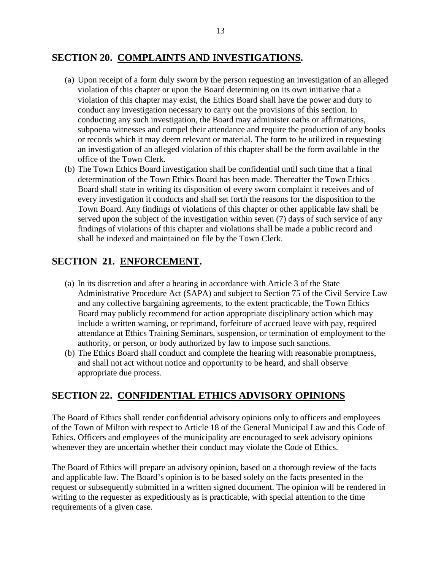### **SECTION 20. COMPLAINTS AND INVESTIGATIONS.**

- (a) Upon receipt of a form duly sworn by the person requesting an investigation of an alleged violation of this chapter or upon the Board determining on its own initiative that a violation of this chapter may exist, the Ethics Board shall have the power and duty to conduct any investigation necessary to carry out the provisions of this section. In conducting any such investigation, the Board may administer oaths or affirmations, subpoena witnesses and compel their attendance and require the production of any books or records which it may deem relevant or material. The form to be utilized in requesting an investigation of an alleged violation of this chapter shall be the form available in the office of the Town Clerk.
- (b) The Town Ethics Board investigation shall be confidential until such time that a final determination of the Town Ethics Board has been made. Thereafter the Town Ethics Board shall state in writing its disposition of every sworn complaint it receives and of every investigation it conducts and shall set forth the reasons for the disposition to the Town Board. Any findings of violations of this chapter or other applicable law shall be served upon the subject of the investigation within seven (7) days of such service of any findings of violations of this chapter and violations shall be made a public record and shall be indexed and maintained on file by the Town Clerk.

# **SECTION 21. ENFORCEMENT.**

- (a) In its discretion and after a hearing in accordance with Article 3 of the State Administrative Procedure Act (SAPA) and subject to Section 75 of the Civil Service Law and any collective bargaining agreements, to the extent practicable, the Town Ethics Board may publicly recommend for action appropriate disciplinary action which may include a written warning, or reprimand, forfeiture of accrued leave with pay, required attendance at Ethics Training Seminars, suspension, or termination of employment to the authority, or person, or body authorized by law to impose such sanctions.
- (b) The Ethics Board shall conduct and complete the hearing with reasonable promptness, and shall not act without notice and opportunity to be heard, and shall observe appropriate due process.

# **SECTION 22. CONFIDENTIAL ETHICS ADVISORY OPINIONS**

The Board of Ethics shall render confidential advisory opinions only to officers and employees of the Town of Milton with respect to Article 18 of the General Municipal Law and this Code of Ethics. Officers and employees of the municipality are encouraged to seek advisory opinions whenever they are uncertain whether their conduct may violate the Code of Ethics.

The Board of Ethics will prepare an advisory opinion, based on a thorough review of the facts and applicable law. The Board's opinion is to be based solely on the facts presented in the request or subsequently submitted in a written signed document. The opinion will be rendered in writing to the requester as expeditiously as is practicable, with special attention to the time requirements of a given case.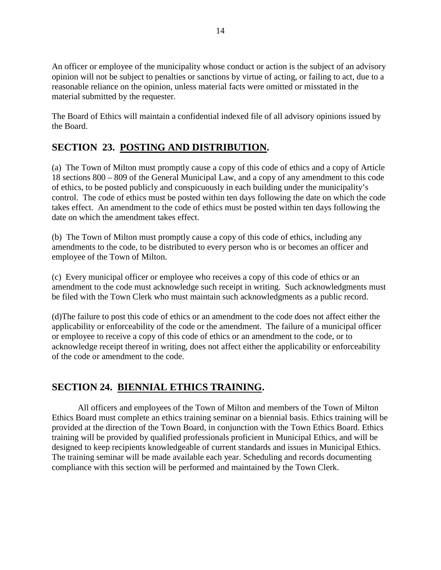An officer or employee of the municipality whose conduct or action is the subject of an advisory opinion will not be subject to penalties or sanctions by virtue of acting, or failing to act, due to a reasonable reliance on the opinion, unless material facts were omitted or misstated in the material submitted by the requester.

The Board of Ethics will maintain a confidential indexed file of all advisory opinions issued by the Board.

# **SECTION 23. POSTING AND DISTRIBUTION.**

(a) The Town of Milton must promptly cause a copy of this code of ethics and a copy of Article 18 sections 800 – 809 of the General Municipal Law, and a copy of any amendment to this code of ethics, to be posted publicly and conspicuously in each building under the municipality's control. The code of ethics must be posted within ten days following the date on which the code takes effect. An amendment to the code of ethics must be posted within ten days following the date on which the amendment takes effect.

(b) The Town of Milton must promptly cause a copy of this code of ethics, including any amendments to the code, to be distributed to every person who is or becomes an officer and employee of the Town of Milton.

(c) Every municipal officer or employee who receives a copy of this code of ethics or an amendment to the code must acknowledge such receipt in writing. Such acknowledgments must be filed with the Town Clerk who must maintain such acknowledgments as a public record.

(d)The failure to post this code of ethics or an amendment to the code does not affect either the applicability or enforceability of the code or the amendment. The failure of a municipal officer or employee to receive a copy of this code of ethics or an amendment to the code, or to acknowledge receipt thereof in writing, does not affect either the applicability or enforceability of the code or amendment to the code.

# **SECTION 24. BIENNIAL ETHICS TRAINING.**

All officers and employees of the Town of Milton and members of the Town of Milton Ethics Board must complete an ethics training seminar on a biennial basis. Ethics training will be provided at the direction of the Town Board, in conjunction with the Town Ethics Board. Ethics training will be provided by qualified professionals proficient in Municipal Ethics, and will be designed to keep recipients knowledgeable of current standards and issues in Municipal Ethics. The training seminar will be made available each year. Scheduling and records documenting compliance with this section will be performed and maintained by the Town Clerk.